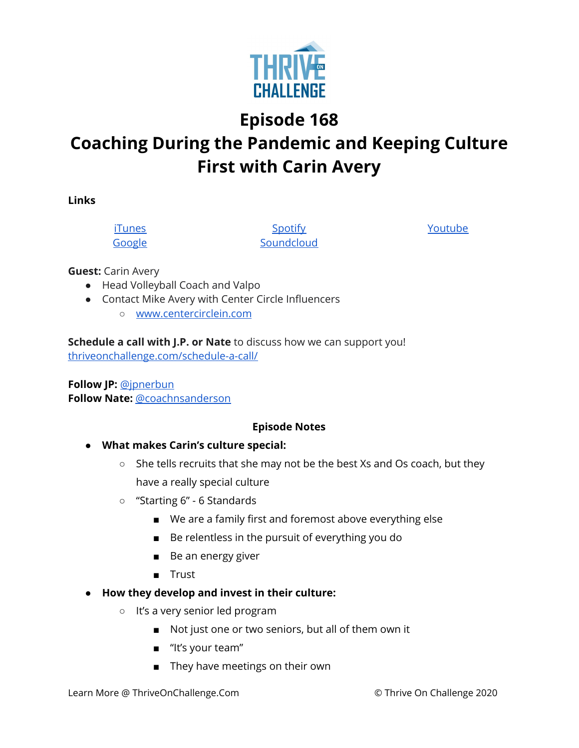

**Episode 168**

## **Coaching During the Pandemic and Keeping Culture First with Carin Avery**

**Links**

[iTunes](https://podcasts.apple.com/us/podcast/coaching-culture/id1286560192) [Google](https://podcasts.google.com/feed/aHR0cHM6Ly9mZWVkcy5zb3VuZGNsb3VkLmNvbS91c2Vycy9zb3VuZGNsb3VkOnVzZXJzOjQxMDQyNzcvc291bmRzLnJzcw?ved=2ahUKEwiSpYquy9vqAhVbQUEAHSAkC88Q4aUDegQIARAC)

**[Spotify](https://open.spotify.com/show/336Hs8udk8s0yXuK3BzSOq) [Soundcloud](https://soundcloud.com/thriveonchallenge)**  [Youtube](https://www.youtube.com/channel/UC3vIljCBzwHcPyVIx9kiHvw)

**Guest:** Carin Avery

- Head Volleyball Coach and Valpo
- Contact Mike Avery with Center Circle Influencers
	- [www.centercirclein.com](http://www.centercirclein.com/)

**Schedule a call with J.P. or Nate** to discuss how we can support you! [thriveonchallenge.com/schedule-a-call/](http://thriveonchallenge.com/schedule-a-call/)

**Follow JP:** [@jpnerbun](http://twitter.com/jpnerbun) **Follow Nate:** [@coachnsanderson](http://twitter.com/coachnsanderson)

## **Episode Notes**

- **● What makes Carin's culture special:**
	- She tells recruits that she may not be the best Xs and Os coach, but they have a really special culture
	- "Starting 6" 6 Standards
		- We are a family first and foremost above everything else
		- Be relentless in the pursuit of everything you do
		- Be an energy giver
		- Trust
- **● How they develop and invest in their culture:**
	- It's a very senior led program
		- Not just one or two seniors, but all of them own it
		- "It's your team"
		- They have meetings on their own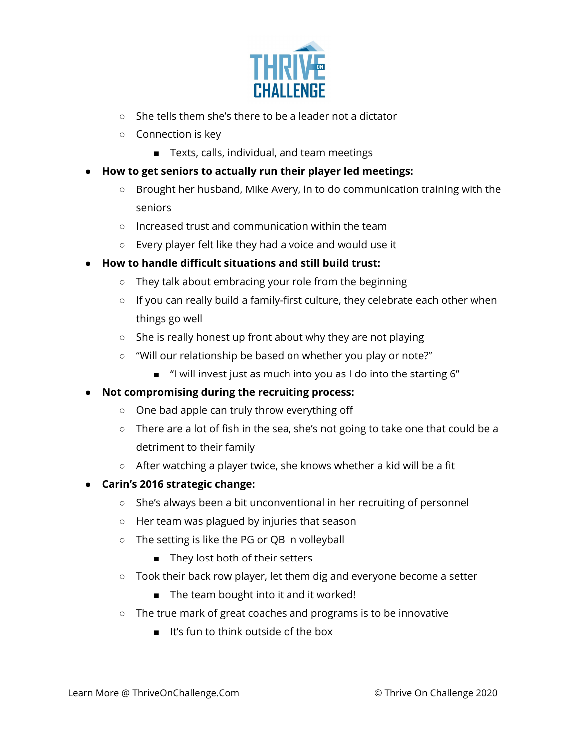

- She tells them she's there to be a leader not a dictator
- Connection is key
	- Texts, calls, individual, and team meetings
- **● How to get seniors to actually run their player led meetings:**
	- Brought her husband, Mike Avery, in to do communication training with the seniors
	- Increased trust and communication within the team
	- Every player felt like they had a voice and would use it
- **● How to handle difficult situations and still build trust:**
	- They talk about embracing your role from the beginning
	- If you can really build a family-first culture, they celebrate each other when things go well
	- She is really honest up front about why they are not playing
	- "Will our relationship be based on whether you play or note?"
		- "I will invest just as much into you as I do into the starting 6"

## **● Not compromising during the recruiting process:**

- One bad apple can truly throw everything off
- There are a lot of fish in the sea, she's not going to take one that could be a detriment to their family
- After watching a player twice, she knows whether a kid will be a fit
- **● Carin's 2016 strategic change:**
	- She's always been a bit unconventional in her recruiting of personnel
	- Her team was plagued by injuries that season
	- The setting is like the PG or QB in volleyball
		- They lost both of their setters
	- Took their back row player, let them dig and everyone become a setter
		- The team bought into it and it worked!
	- The true mark of great coaches and programs is to be innovative
		- It's fun to think outside of the box